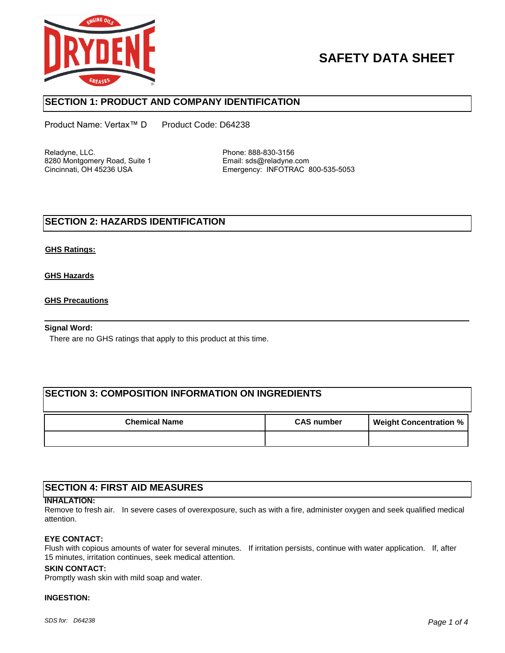

# **SAFETY DATA SHEET**

# **SECTION 1: PRODUCT AND COMPANY IDENTIFICATION**

Product Name: Vertax™ D Product Code: D64238

Reladyne, LLC. **Phone: 888-830-3156** 8280 Montgomery Road, Suite 1 Email: sds@reladyne.com

Cincinnati, OH 45236 USA Emergency: INFOTRAC 800-535-5053

# **SECTION 2: HAZARDS IDENTIFICATION**

## **GHS Ratings:**

### **GHS Hazards**

### **GHS Precautions**

#### **Signal Word:**

There are no GHS ratings that apply to this product at this time.

# **SECTION 3: COMPOSITION INFORMATION ON INGREDIENTS**

| <b>Chemical Name</b> | <b>CAS number</b> | <b>Weight Concentration %</b> |
|----------------------|-------------------|-------------------------------|
|                      |                   |                               |

# **SECTION 4: FIRST AID MEASURES**

### **INHALATION:**

Remove to fresh air. In severe cases of overexposure, such as with a fire, administer oxygen and seek qualified medical attention.

## **EYE CONTACT:**

Flush with copious amounts of water for several minutes. If irritation persists, continue with water application. If, after 15 minutes, irritation continues, seek medical attention.

#### **SKIN CONTACT:**

Promptly wash skin with mild soap and water.

#### **INGESTION:**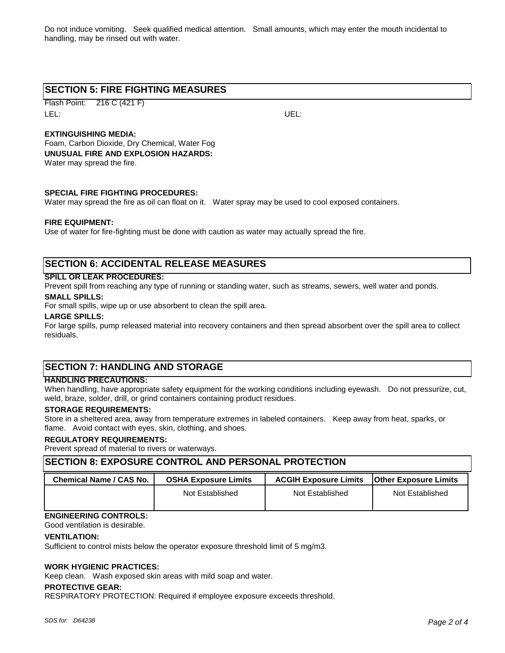Do not induce vomiting. Seek qualified medical attention. Small amounts, which may enter the mouth incidental to handling, may be rinsed out with water.

## **SECTION 5: FIRE FIGHTING MEASURES**

Flash Point: 216 C (421 F) LEL: UEL:

## **EXTINGUISHING MEDIA:**

Foam, Carbon Dioxide, Dry Chemical, Water Fog **UNUSUAL FIRE AND EXPLOSION HAZARDS:** Water may spread the fire.

### **SPECIAL FIRE FIGHTING PROCEDURES:**

Water may spread the fire as oil can float on it. Water spray may be used to cool exposed containers.

#### **FIRE EQUIPMENT:**

Use of water for fire-fighting must be done with caution as water may actually spread the fire.

## **SECTION 6: ACCIDENTAL RELEASE MEASURES**

### **SPILL OR LEAK PROCEDURES:**

Prevent spill from reaching any type of running or standing water, such as streams, sewers, well water and ponds.

#### **SMALL SPILLS:**

For small spills, wipe up or use absorbent to clean the spill area.

#### **LARGE SPILLS:**

For large spills, pump released material into recovery containers and then spread absorbent over the spill area to collect residuals.

# **SECTION 7: HANDLING AND STORAGE**

#### **HANDLING PRECAUTIONS:**

When handling, have appropriate safety equipment for the working conditions including eyewash. Do not pressurize, cut, weld, braze, solder, drill, or grind containers containing product residues.

#### **STORAGE REQUIREMENTS:**

Store in a sheltered area, away from temperature extremes in labeled containers. Keep away from heat, sparks, or flame. Avoid contact with eyes, skin, clothing, and shoes.

#### **REGULATORY REQUIREMENTS:**

Prevent spread of material to rivers or waterways.

## **SECTION 8: EXPOSURE CONTROL AND PERSONAL PROTECTION**

| <b>Chemical Name / CAS No.</b> | <b>OSHA Exposure Limits</b> | <b>ACGIH Exposure Limits</b> | <b>Other Exposure Limits</b> |
|--------------------------------|-----------------------------|------------------------------|------------------------------|
|                                | Not Established             | Not Established              | Not Established              |

# **ENGINEERING CONTROLS:**

Good ventilation is desirable.

#### **VENTILATION:**

Sufficient to control mists below the operator exposure threshold limit of 5 mg/m3.

### **WORK HYGIENIC PRACTICES:**

Keep clean. Wash exposed skin areas with mild soap and water.

#### **PROTECTIVE GEAR:**

RESPIRATORY PROTECTION: Required if employee exposure exceeds threshold.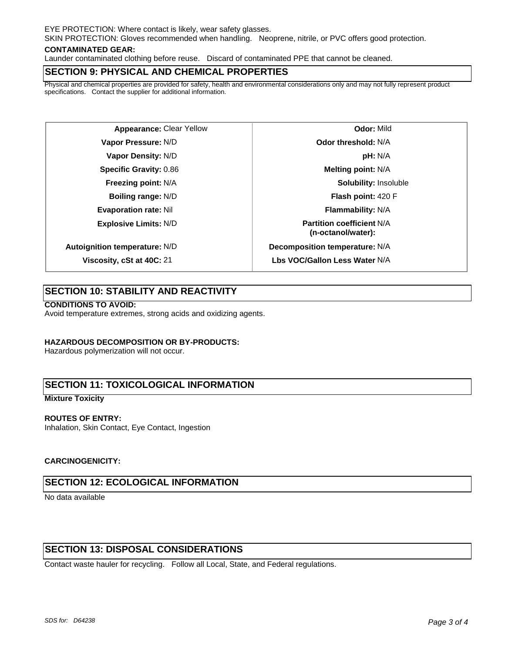EYE PROTECTION: Where contact is likely, wear safety glasses. SKIN PROTECTION: Gloves recommended when handling. Neoprene, nitrile, or PVC offers good protection.

#### **CONTAMINATED GEAR:**

Launder contaminated clothing before reuse. Discard of contaminated PPE that cannot be cleaned.

## **SECTION 9: PHYSICAL AND CHEMICAL PROPERTIES**

Physical and chemical properties are provided for safety, health and environmental considerations only and may not fully represent product specifications. Contact the supplier for additional information.

**Explosive Limits:** N/D **Partition coefficient** N/A

**Appearance:** Clear Yellow **Quart Clear Sellow Odor:** Mild **Vapor Pressure:** N/D **Odor threshold:** N/A **Vapor Density:** N/D **pH:** N/A **Specific Gravity:** 0.86 **Melting point:** N/A **Freezing point:** N/A **Solubility:** Insoluble **Boiling range:** N/D **Flash point:** 420 F **Evaporation rate:** Nil **Flammability:** N/A **(n-octanol/water): Autoignition temperature:** N/D **Decomposition temperature:** N/A **Viscosity, cSt at 40C:** 21 **Lbs VOC/Gallon Less Water** N/A

# **SECTION 10: STABILITY AND REACTIVITY**

#### **CONDITIONS TO AVOID:**

Avoid temperature extremes, strong acids and oxidizing agents.

## **HAZARDOUS DECOMPOSITION OR BY-PRODUCTS:**

Hazardous polymerization will not occur.

## **SECTION 11: TOXICOLOGICAL INFORMATION**

#### **Mixture Toxicity**

## **ROUTES OF ENTRY:**

Inhalation, Skin Contact, Eye Contact, Ingestion

## **CARCINOGENICITY:**

## **SECTION 12: ECOLOGICAL INFORMATION**

No data available

# **SECTION 13: DISPOSAL CONSIDERATIONS**

Contact waste hauler for recycling. Follow all Local, State, and Federal regulations.